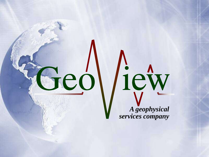

liew *A geophysical services company*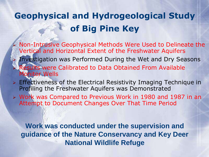#### **Geophysical and Hydrogeological Study of Big Pine Key**

- Non-Intrusive Geophysical Methods Were Used to Delineate the Vertical and Horizontal Extent of the Freshwater Aquifers Investigation was Performed During the Wet and Dry Seasons Results were Calibrated to Data Obtained From Available Monitor Wells
- $\triangleright$  Effectiveness of the Electrical Resistivity Imaging Technique in Profiling the Freshwater Aquifers was Demonstrated
- Work was Compared to Previous Work in 1980 and 1987 in an Attempt to Document Changes Over That Time Period

**Work was conducted under the supervision and guidance of the Nature Conservancy and Key Deer National Wildlife Refuge**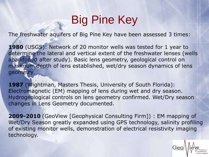# Big Pine Key

The freshwater aquifers of Big Pine Key have been assessed 3 times:

**1980** (USGS): Network of 20 monitor wells was tested for 1 year to determine the lateral and vertical extent of the freshwater lenses (wells abandoned after study). Basic lens geometry, geological control on maximum depth of lens established, wet/dry season dynamics of lens geometry.

**1987** (Wightman, Masters Thesis, University of South Florida): Electromagnetic (EM) mapping of lens during wet and dry season. Hydrogeological controls on lens geometry confirmed. Wet/Dry season changes in Lens Geometry documented.

**2009-2010** (GeoView [Geophysical Consulting Firm]) : EM mapping of Wet/Dry Season greatly expanded using GPS technology, salinity profiling of existing monitor wells, demonstration of electrical resistivity imaging technology.

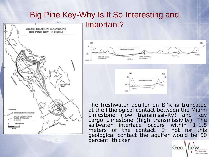#### Big Pine Key-Why Is It So Interesting and Important?







The freshwater aquifer on BPK is truncated at the lithological contact between the Miami Limestone (low transmissivity) and Key Largo Limestone (high transmissivity). The saltwater interface occurs within 1-1.5 meters of the contact. If not for this geological contact the aquifer would be 50 percent thicker.

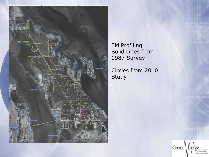

EM Profiling Solid Lines from 1987 Survey

Circles from 2010 Study

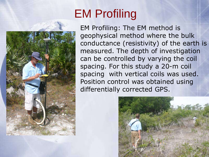# EM Profiling

EM Profiling: The EM method is geophysical method where the bulk conductance (resistivity) of the earth is measured. The depth of investigation can be controlled by varying the coil spacing. For this study a 20-m coil spacing with vertical coils was used. Position control was obtained using differentially corrected GPS.

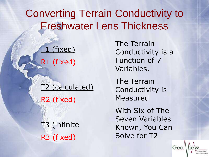#### Converting Terrain Conductivity to Freshwater Lens Thickness

T1 (fixed) R1 (fixed)

T2 (calculated) R2 (fixed)

T3 (infinite R3 (fixed)

The Terrain Conductivity is a Function of 7 Variables.

The Terrain Conductivity is Measured

With Six of The Seven Variables Known, You Can Solve for T2

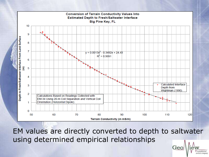

EM values are directly converted to depth to saltwater using determined empirical relationships

Geo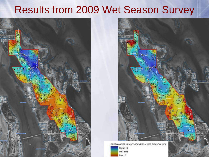#### Results from 2009 Wet Season Survey





FRESHWATER LENS THICKNESS - WET SEASON 2009

 $High:10$ **METERS**  $Low: 1$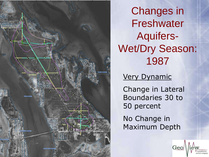

Changes in Freshwater Aquifers-Wet/Dry Season: 1987

#### Very Dynamic

Change in Lateral Boundaries 30 to 50 percent

No Change in Maximum Depth

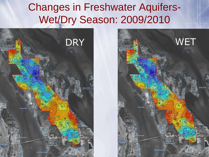## Changes in Freshwater Aquifers-Wet/Dry Season: 2009/2010



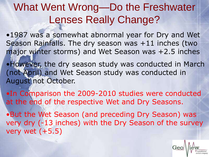## What Went Wrong—Do the Freshwater Lenses Really Change?

•1987 was a somewhat abnormal year for Dry and Wet Season Rainfalls. The dry season was +11 inches (two major winter storms) and Wet Season was +2.5 inches

•However, the dry season study was conducted in March (not April) and Wet Season study was conducted in August not October.

•In Comparison the 2009-2010 studies were conducted at the end of the respective Wet and Dry Seasons.

•But the Wet Season (and preceding Dry Season) was very dry (-13 inches) with the Dry Season of the survey very wet (+5.5)

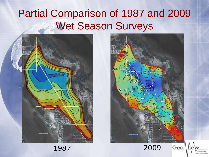#### Partial Comparison of 1987 and 2009 Wet Season Surveys





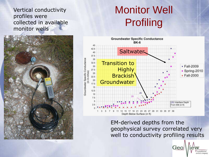Vertical conductivity profiles were collected in available monitor wells

## Monitor Well Profiling





EM-derived depths from the geophysical survey correlated very well to conductivity profiling results

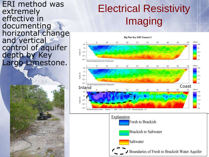ERI method was extremely effective in documenting horizontal change and vertical control of aquifer depth by Key Largo Limestone.

# Electrical Resistivity Imaging



Boundaries of Fresh to Brackish Water Aquifer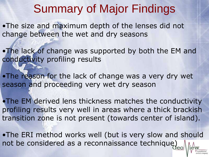# Summary of Major Findings

•The size and maximum depth of the lenses did not change between the wet and dry seasons

•The lack of change was supported by both the EM and conductivity profiling results

•The reason for the lack of change was a very dry wet season and proceeding very wet dry season

•The EM derived lens thickness matches the conductivity profiling results very well in areas where a thick brackish transition zone is not present (towards center of island).

•The ERI method works well (but is very slow and should not be considered as a reconnaissance technique)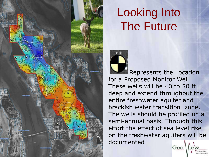

# Looking Into The Future



Represents the Location for a Proposed Monitor Well. These wells will be 40 to 50 ft deep and extend throughout the entire freshwater aquifer and brackish water transition zone. The wells should be profiled on a semi-annual basis. Through this effort the effect of sea level rise on the freshwater aquifers will be documentedGeo